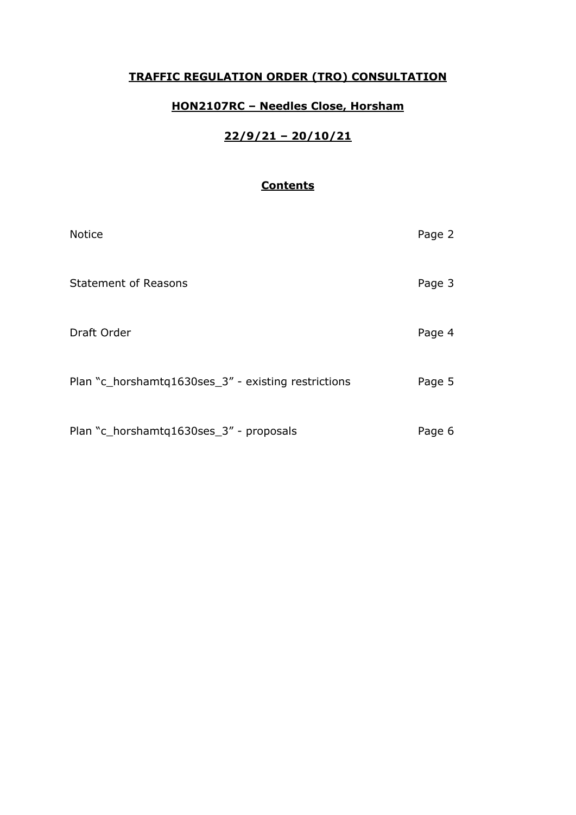### **TRAFFIC REGULATION ORDER (TRO) CONSULTATION**

## **HON2107RC – Needles Close, Horsham**

# **22/9/21 – 20/10/21**

## **Contents**

| <b>Notice</b>                                       | Page 2 |
|-----------------------------------------------------|--------|
| <b>Statement of Reasons</b>                         | Page 3 |
| Draft Order                                         | Page 4 |
| Plan "c_horshamtq1630ses_3" - existing restrictions | Page 5 |
| Plan "c_horshamtq1630ses_3" - proposals             | Page 6 |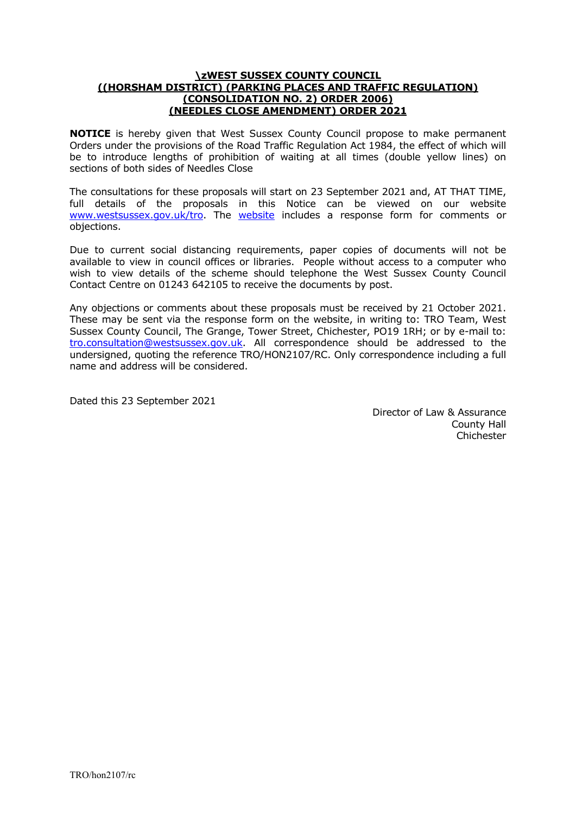#### **\zWEST SUSSEX COUNTY COUNCIL ((HORSHAM DISTRICT) (PARKING PLACES AND TRAFFIC REGULATION) (CONSOLIDATION NO. 2) ORDER 2006) (NEEDLES CLOSE AMENDMENT) ORDER 2021**

**NOTICE** is hereby given that West Sussex County Council propose to make permanent Orders under the provisions of the Road Traffic Regulation Act 1984, the effect of which will be to introduce lengths of prohibition of waiting at all times (double yellow lines) on sections of both sides of Needles Close

The consultations for these proposals will start on 23 September 2021 and, AT THAT TIME, full details of the proposals in this Notice can be viewed on our website [www.westsussex.gov.uk/tro.](http://www.westsussex.gov.uk/tro) The [website](https://www.westsussex.gov.uk/roads-and-travel/traffic-regulation-orders/) includes a response form for comments or objections.

Due to current social distancing requirements, paper copies of documents will not be available to view in council offices or libraries. People without access to a computer who wish to view details of the scheme should telephone the West Sussex County Council Contact Centre on 01243 642105 to receive the documents by post.

Any objections or comments about these proposals must be received by 21 October 2021. These may be sent via the response form on the website, in writing to: TRO Team, West Sussex County Council, The Grange, Tower Street, Chichester, PO19 1RH; or by e-mail to: [tro.consultation@westsussex.gov.uk.](mailto:tro.team@westsussex.gov.uk) All correspondence should be addressed to the undersigned, quoting the reference TRO/HON2107/RC. Only correspondence including a full name and address will be considered.

Dated this 23 September 2021

 Director of Law & Assurance County Hall Chichester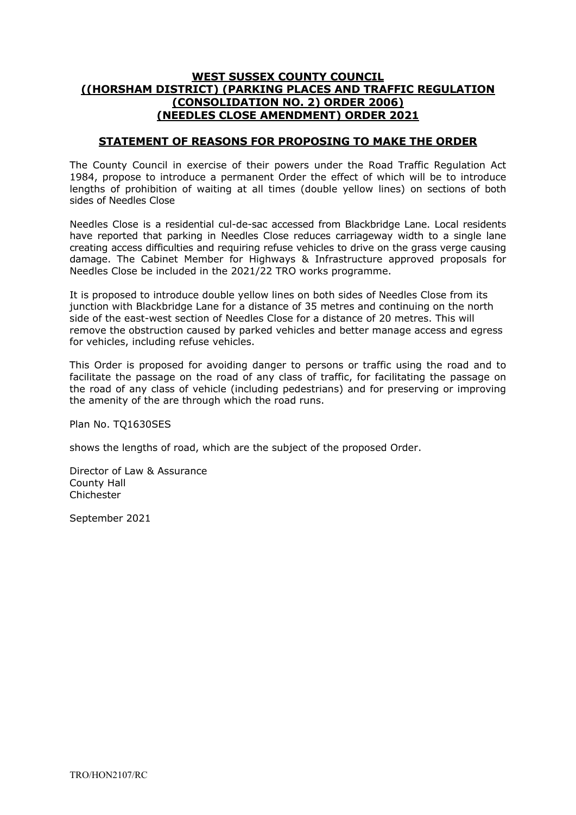#### **WEST SUSSEX COUNTY COUNCIL ((HORSHAM DISTRICT) (PARKING PLACES AND TRAFFIC REGULATION (CONSOLIDATION NO. 2) ORDER 2006) (NEEDLES CLOSE AMENDMENT) ORDER 2021**

#### **STATEMENT OF REASONS FOR PROPOSING TO MAKE THE ORDER**

The County Council in exercise of their powers under the Road Traffic Regulation Act 1984, propose to introduce a permanent Order the effect of which will be to introduce lengths of prohibition of waiting at all times (double yellow lines) on sections of both sides of Needles Close

Needles Close is a residential cul-de-sac accessed from Blackbridge Lane. Local residents have reported that parking in Needles Close reduces carriageway width to a single lane creating access difficulties and requiring refuse vehicles to drive on the grass verge causing damage. The Cabinet Member for Highways & Infrastructure approved proposals for Needles Close be included in the 2021/22 TRO works programme.

It is proposed to introduce double yellow lines on both sides of Needles Close from its junction with Blackbridge Lane for a distance of 35 metres and continuing on the north side of the east-west section of Needles Close for a distance of 20 metres. This will remove the obstruction caused by parked vehicles and better manage access and egress for vehicles, including refuse vehicles.

This Order is proposed for avoiding danger to persons or traffic using the road and to facilitate the passage on the road of any class of traffic, for facilitating the passage on the road of any class of vehicle (including pedestrians) and for preserving or improving the amenity of the are through which the road runs.

Plan No. TQ1630SES

shows the lengths of road, which are the subject of the proposed Order.

Director of Law & Assurance County Hall Chichester

September 2021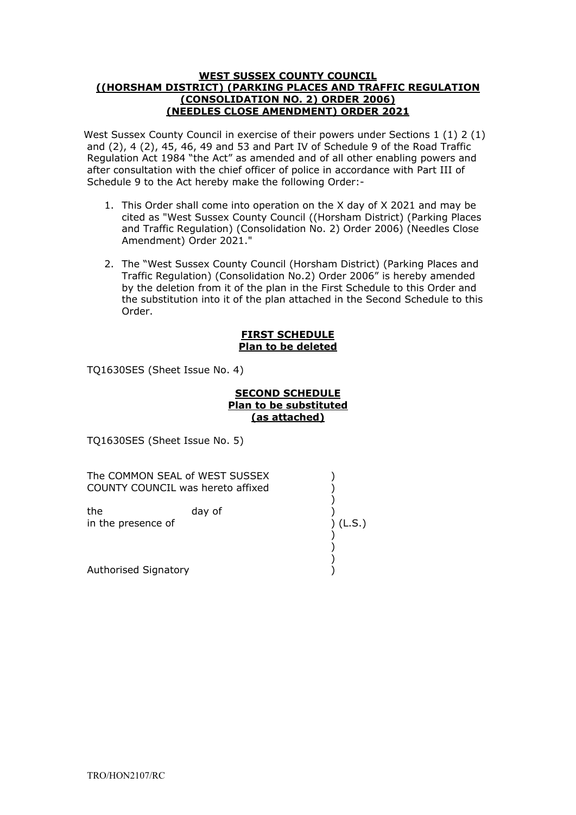#### **WEST SUSSEX COUNTY COUNCIL ((HORSHAM DISTRICT) (PARKING PLACES AND TRAFFIC REGULATION (CONSOLIDATION NO. 2) ORDER 2006) (NEEDLES CLOSE AMENDMENT) ORDER 2021**

West Sussex County Council in exercise of their powers under Sections 1 (1) 2 (1) and  $(2)$ , 4  $(2)$ , 45, 46, 49 and 53 and Part IV of Schedule 9 of the Road Traffic Regulation Act 1984 "the Act" as amended and of all other enabling powers and after consultation with the chief officer of police in accordance with Part III of Schedule 9 to the Act hereby make the following Order:-

- ." Amendment) Order 2021 1. This Order shall come into operation on the X day of X 2021 and may be cited as "West Sussex County Council ((Horsham District) (Parking Places and Traffic Regulation) (Consolidation No. 2) Order 2006) (Needles Close
- 2. The "West Sussex County Council (Horsham District) (Parking Places and Traffic Regulation) (Consolidation No.2) Order 2006" is hereby amended by the deletion from it of the plan in the First Schedule to this Order and the substitution into it of the plan attached in the Second Schedule to this Order.

#### **FIRST SCHEDULE Plan to be deleted**

TQ1630SES (Sheet Issue No. 4)

#### **SECOND SCHEDULE Plan to be substituted (as attached)**

TQ1630SES (Sheet Issue No. 5)

| The COMMON SEAL of WEST SUSSEX<br>COUNTY COUNCIL was hereto affixed |        |        |
|---------------------------------------------------------------------|--------|--------|
| the<br>in the presence of                                           | day of | (L.S.) |
| Authorised Signatory                                                |        |        |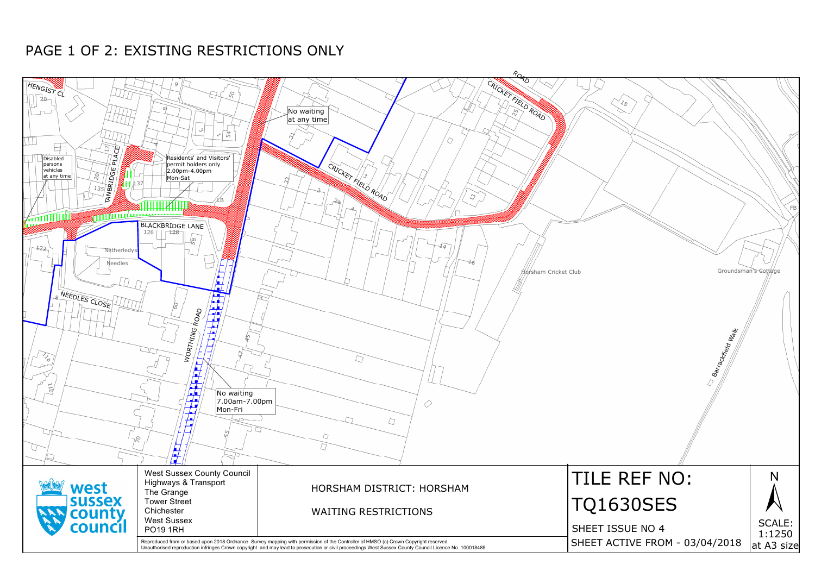

# PAGE 1 OF 2: EXISTING RESTRICTIONS ONLY